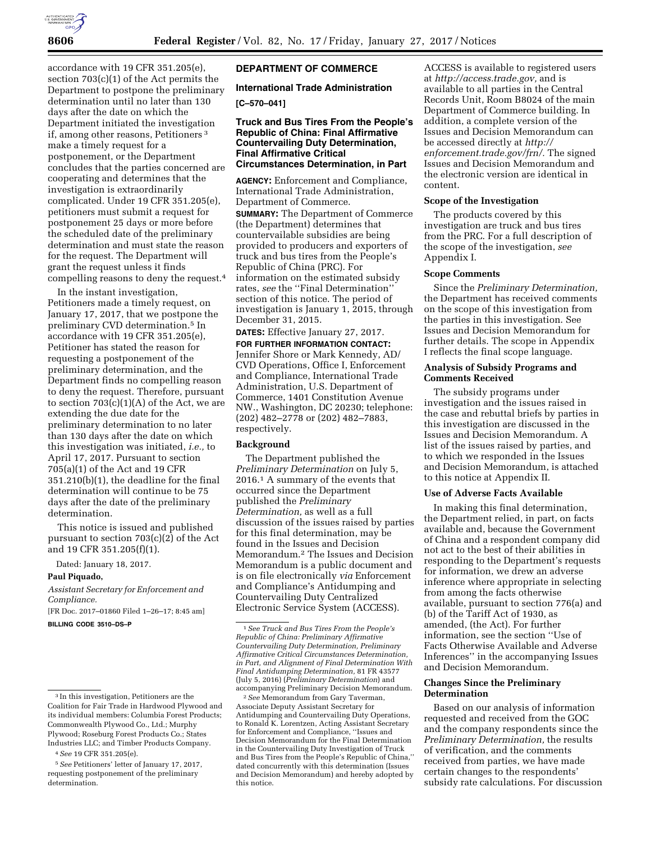

accordance with 19 CFR 351.205(e), section 703(c)(1) of the Act permits the Department to postpone the preliminary determination until no later than 130 days after the date on which the Department initiated the investigation if, among other reasons, Petitioners 3 make a timely request for a postponement, or the Department concludes that the parties concerned are cooperating and determines that the investigation is extraordinarily complicated. Under 19 CFR 351.205(e), petitioners must submit a request for postponement 25 days or more before the scheduled date of the preliminary determination and must state the reason for the request. The Department will grant the request unless it finds compelling reasons to deny the request.4

In the instant investigation, Petitioners made a timely request, on January 17, 2017, that we postpone the preliminary CVD determination.5 In accordance with 19 CFR 351.205(e), Petitioner has stated the reason for requesting a postponement of the preliminary determination, and the Department finds no compelling reason to deny the request. Therefore, pursuant to section  $703(c)(1)(A)$  of the Act, we are extending the due date for the preliminary determination to no later than 130 days after the date on which this investigation was initiated, *i.e.,* to April 17, 2017. Pursuant to section 705(a)(1) of the Act and 19 CFR 351.210(b)(1), the deadline for the final determination will continue to be 75 days after the date of the preliminary determination.

This notice is issued and published pursuant to section 703(c)(2) of the Act and 19 CFR 351.205(f)(1).

Dated: January 18, 2017.

### **Paul Piquado,**

*Assistant Secretary for Enforcement and Compliance.* 

[FR Doc. 2017–01860 Filed 1–26–17; 8:45 am] **BILLING CODE 3510–DS–P** 

# **DEPARTMENT OF COMMERCE**

# **International Trade Administration**

## **[C–570–041]**

## **Truck and Bus Tires From the People's Republic of China: Final Affirmative Countervailing Duty Determination, Final Affirmative Critical Circumstances Determination, in Part**

**AGENCY:** Enforcement and Compliance, International Trade Administration, Department of Commerce.

**SUMMARY:** The Department of Commerce (the Department) determines that countervailable subsidies are being provided to producers and exporters of truck and bus tires from the People's Republic of China (PRC). For information on the estimated subsidy rates, *see* the ''Final Determination'' section of this notice. The period of investigation is January 1, 2015, through December 31, 2015.

**DATES:** Effective January 27, 2017.

**FOR FURTHER INFORMATION CONTACT:**  Jennifer Shore or Mark Kennedy, AD/ CVD Operations, Office I, Enforcement and Compliance, International Trade Administration, U.S. Department of Commerce, 1401 Constitution Avenue NW., Washington, DC 20230; telephone: (202) 482–2778 or (202) 482–7883, respectively.

## **Background**

The Department published the *Preliminary Determination* on July 5, 2016.1 A summary of the events that occurred since the Department published the *Preliminary Determination,* as well as a full discussion of the issues raised by parties for this final determination, may be found in the Issues and Decision Memorandum.2 The Issues and Decision Memorandum is a public document and is on file electronically *via* Enforcement and Compliance's Antidumping and Countervailing Duty Centralized Electronic Service System (ACCESS).

2*See* Memorandum from Gary Taverman, Associate Deputy Assistant Secretary for Antidumping and Countervailing Duty Operations, to Ronald K. Lorentzen, Acting Assistant Secretary for Enforcement and Compliance, ''Issues and Decision Memorandum for the Final Determination in the Countervailing Duty Investigation of Truck and Bus Tires from the People's Republic of China,'' dated concurrently with this determination (Issues and Decision Memorandum) and hereby adopted by this notice.

ACCESS is available to registered users at *[http://access.trade.gov,](http://access.trade.gov)* and is available to all parties in the Central Records Unit, Room B8024 of the main Department of Commerce building. In addition, a complete version of the Issues and Decision Memorandum can be accessed directly at *[http://](http://enforcement.trade.gov/frn/) [enforcement.trade.gov/frn/.](http://enforcement.trade.gov/frn/)* The signed Issues and Decision Memorandum and the electronic version are identical in content.

#### **Scope of the Investigation**

The products covered by this investigation are truck and bus tires from the PRC. For a full description of the scope of the investigation, *see*  Appendix I.

#### **Scope Comments**

Since the *Preliminary Determination,*  the Department has received comments on the scope of this investigation from the parties in this investigation. See Issues and Decision Memorandum for further details. The scope in Appendix I reflects the final scope language.

## **Analysis of Subsidy Programs and Comments Received**

The subsidy programs under investigation and the issues raised in the case and rebuttal briefs by parties in this investigation are discussed in the Issues and Decision Memorandum. A list of the issues raised by parties, and to which we responded in the Issues and Decision Memorandum, is attached to this notice at Appendix II.

#### **Use of Adverse Facts Available**

In making this final determination, the Department relied, in part, on facts available and, because the Government of China and a respondent company did not act to the best of their abilities in responding to the Department's requests for information, we drew an adverse inference where appropriate in selecting from among the facts otherwise available, pursuant to section 776(a) and (b) of the Tariff Act of 1930, as amended, (the Act). For further information, see the section ''Use of Facts Otherwise Available and Adverse Inferences'' in the accompanying Issues and Decision Memorandum.

### **Changes Since the Preliminary Determination**

Based on our analysis of information requested and received from the GOC and the company respondents since the *Preliminary Determination,* the results of verification, and the comments received from parties, we have made certain changes to the respondents' subsidy rate calculations. For discussion

<sup>3</sup> In this investigation, Petitioners are the Coalition for Fair Trade in Hardwood Plywood and its individual members: Columbia Forest Products; Commonwealth Plywood Co., Ltd.; Murphy Plywood; Roseburg Forest Products Co.; States Industries LLC; and Timber Products Company.

<sup>4</sup>*See* 19 CFR 351.205(e).

<sup>5</sup>*See* Petitioners' letter of January 17, 2017, requesting postponement of the preliminary determination.

<sup>1</sup>*See Truck and Bus Tires From the People's Republic of China: Preliminary Affirmative Countervailing Duty Determination, Preliminary Affirmative Critical Circumstances Determination, in Part, and Alignment of Final Determination With Final Antidumping Determination,* 81 FR 43577 (July 5, 2016) (*Preliminary Determination*) and accompanying Preliminary Decision Memorandum.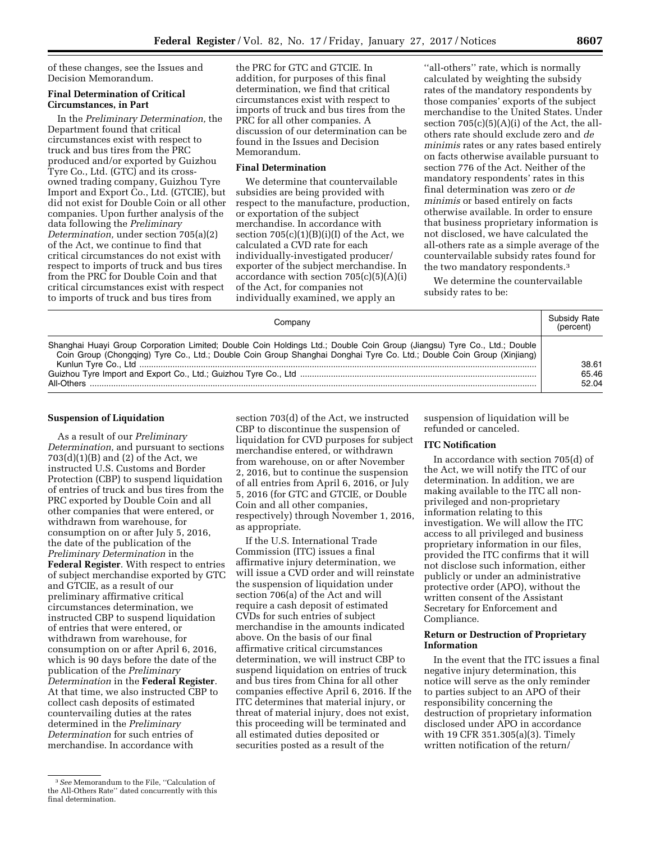of these changes, see the Issues and Decision Memorandum.

### **Final Determination of Critical Circumstances, in Part**

In the *Preliminary Determination,* the Department found that critical circumstances exist with respect to truck and bus tires from the PRC produced and/or exported by Guizhou Tyre Co., Ltd. (GTC) and its crossowned trading company, Guizhou Tyre Import and Export Co., Ltd. (GTCIE), but did not exist for Double Coin or all other companies. Upon further analysis of the data following the *Preliminary Determination,* under section 705(a)(2) of the Act, we continue to find that critical circumstances do not exist with respect to imports of truck and bus tires from the PRC for Double Coin and that critical circumstances exist with respect to imports of truck and bus tires from

the PRC for GTC and GTCIE. In addition, for purposes of this final determination, we find that critical circumstances exist with respect to imports of truck and bus tires from the PRC for all other companies. A discussion of our determination can be found in the Issues and Decision Memorandum.

# **Final Determination**

We determine that countervailable subsidies are being provided with respect to the manufacture, production, or exportation of the subject merchandise. In accordance with section  $705(c)(1)(B)(i)(I)$  of the Act, we calculated a CVD rate for each individually-investigated producer/ exporter of the subject merchandise. In accordance with section  $705(c)(5)(A)(i)$ of the Act, for companies not individually examined, we apply an

''all-others'' rate, which is normally calculated by weighting the subsidy rates of the mandatory respondents by those companies' exports of the subject merchandise to the United States. Under section  $705(c)(5)(A)(i)$  of the Act, the allothers rate should exclude zero and *de minimis* rates or any rates based entirely on facts otherwise available pursuant to section 776 of the Act. Neither of the mandatory respondents' rates in this final determination was zero or *de minimis* or based entirely on facts otherwise available. In order to ensure that business proprietary information is not disclosed, we have calculated the all-others rate as a simple average of the countervailable subsidy rates found for the two mandatory respondents.3

We determine the countervailable subsidy rates to be:

| Companv                                                                                                                                                                                                                                          | Subsidy Rate<br>(percent) |
|--------------------------------------------------------------------------------------------------------------------------------------------------------------------------------------------------------------------------------------------------|---------------------------|
| Shanghai Huayi Group Corporation Limited; Double Coin Holdings Ltd.; Double Coin Group (Jiangsu) Tyre Co., Ltd.; Double<br>Coin Group (Chongqing) Tyre Co., Ltd.; Double Coin Group Shanghai Donghai Tyre Co. Ltd.; Double Coin Group (Xinjiang) | 38.61<br>65.46<br>52.04   |

## **Suspension of Liquidation**

As a result of our *Preliminary Determination,* and pursuant to sections  $703(d)(1)(B)$  and  $(2)$  of the Act, we instructed U.S. Customs and Border Protection (CBP) to suspend liquidation of entries of truck and bus tires from the PRC exported by Double Coin and all other companies that were entered, or withdrawn from warehouse, for consumption on or after July 5, 2016, the date of the publication of the *Preliminary Determination* in the **Federal Register**. With respect to entries of subject merchandise exported by GTC and GTCIE, as a result of our preliminary affirmative critical circumstances determination, we instructed CBP to suspend liquidation of entries that were entered, or withdrawn from warehouse, for consumption on or after April 6, 2016, which is 90 days before the date of the publication of the *Preliminary Determination* in the **Federal Register**. At that time, we also instructed CBP to collect cash deposits of estimated countervailing duties at the rates determined in the *Preliminary Determination* for such entries of merchandise. In accordance with

section 703(d) of the Act, we instructed CBP to discontinue the suspension of liquidation for CVD purposes for subject merchandise entered, or withdrawn from warehouse, on or after November 2, 2016, but to continue the suspension of all entries from April 6, 2016, or July 5, 2016 (for GTC and GTCIE, or Double Coin and all other companies, respectively) through November 1, 2016, as appropriate.

If the U.S. International Trade Commission (ITC) issues a final affirmative injury determination, we will issue a CVD order and will reinstate the suspension of liquidation under section 706(a) of the Act and will require a cash deposit of estimated CVDs for such entries of subject merchandise in the amounts indicated above. On the basis of our final affirmative critical circumstances determination, we will instruct CBP to suspend liquidation on entries of truck and bus tires from China for all other companies effective April 6, 2016. If the ITC determines that material injury, or threat of material injury, does not exist, this proceeding will be terminated and all estimated duties deposited or securities posted as a result of the

suspension of liquidation will be refunded or canceled.

### **ITC Notification**

In accordance with section 705(d) of the Act, we will notify the ITC of our determination. In addition, we are making available to the ITC all nonprivileged and non-proprietary information relating to this investigation. We will allow the ITC access to all privileged and business proprietary information in our files, provided the ITC confirms that it will not disclose such information, either publicly or under an administrative protective order (APO), without the written consent of the Assistant Secretary for Enforcement and Compliance.

#### **Return or Destruction of Proprietary Information**

In the event that the ITC issues a final negative injury determination, this notice will serve as the only reminder to parties subject to an APO of their responsibility concerning the destruction of proprietary information disclosed under APO in accordance with 19 CFR 351.305(a)(3). Timely written notification of the return/

<sup>3</sup>*See* Memorandum to the File, ''Calculation of the All-Others Rate'' dated concurrently with this final determination.